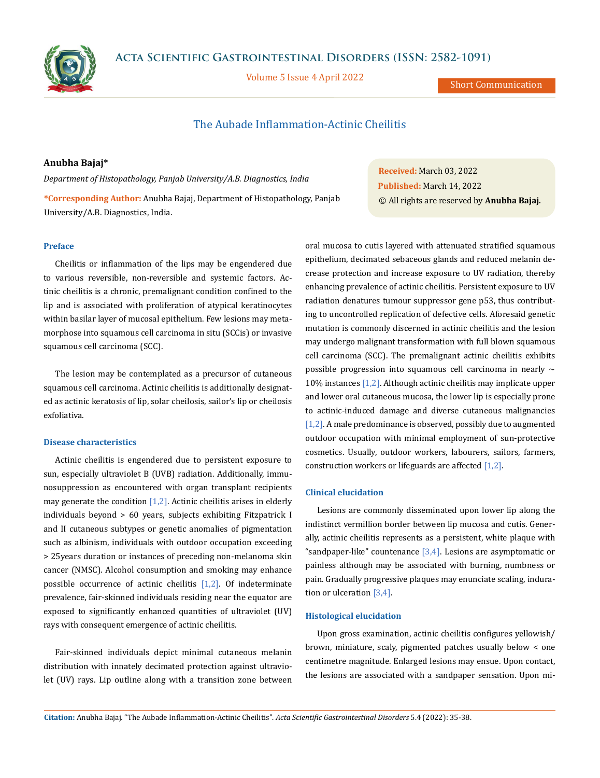**Acta Scientific Gastrointestinal Disorders (ISSN: 2582-1091)**



Volume 5 Issue 4 April 2022

Short Communication

# The Aubade Inflammation-Actinic Cheilitis

# **Anubha Bajaj\***

*Department of Histopathology, Panjab University/A.B. Diagnostics, India*

**\*Corresponding Author:** Anubha Bajaj, Department of Histopathology, Panjab University/A.B. Diagnostics, India.

### **Preface**

Cheilitis or inflammation of the lips may be engendered due to various reversible, non-reversible and systemic factors. Actinic cheilitis is a chronic, premalignant condition confined to the lip and is associated with proliferation of atypical keratinocytes within basilar layer of mucosal epithelium. Few lesions may metamorphose into squamous cell carcinoma in situ (SCCis) or invasive squamous cell carcinoma (SCC).

The lesion may be contemplated as a precursor of cutaneous squamous cell carcinoma. Actinic cheilitis is additionally designated as actinic keratosis of lip, solar cheilosis, sailor's lip or cheilosis exfoliativa.

## **Disease characteristics**

Actinic cheilitis is engendered due to persistent exposure to sun, especially ultraviolet B (UVB) radiation. Additionally, immunosuppression as encountered with organ transplant recipients may generate the condition  $[1,2]$ . Actinic cheilitis arises in elderly individuals beyond > 60 years, subjects exhibiting Fitzpatrick I and II cutaneous subtypes or genetic anomalies of pigmentation such as albinism, individuals with outdoor occupation exceeding > 25years duration or instances of preceding non-melanoma skin cancer (NMSC). Alcohol consumption and smoking may enhance possible occurrence of actinic cheilitis  $[1,2]$ . Of indeterminate prevalence, fair-skinned individuals residing near the equator are exposed to significantly enhanced quantities of ultraviolet (UV) rays with consequent emergence of actinic cheilitis.

Fair-skinned individuals depict minimal cutaneous melanin distribution with innately decimated protection against ultraviolet (UV) rays. Lip outline along with a transition zone between

**Received:** March 03, 2022 **Published:** March 14, 2022 © All rights are reserved by **Anubha Bajaj***.*

oral mucosa to cutis layered with attenuated stratified squamous epithelium, decimated sebaceous glands and reduced melanin decrease protection and increase exposure to UV radiation, thereby enhancing prevalence of actinic cheilitis. Persistent exposure to UV radiation denatures tumour suppressor gene p53, thus contributing to uncontrolled replication of defective cells. Aforesaid genetic mutation is commonly discerned in actinic cheilitis and the lesion may undergo malignant transformation with full blown squamous cell carcinoma (SCC). The premalignant actinic cheilitis exhibits possible progression into squamous cell carcinoma in nearly  $\sim$ 10% instances [1,2]. Although actinic cheilitis may implicate upper and lower oral cutaneous mucosa, the lower lip is especially prone to actinic-induced damage and diverse cutaneous malignancies [1,2]. A male predominance is observed, possibly due to augmented outdoor occupation with minimal employment of sun-protective cosmetics. Usually, outdoor workers, labourers, sailors, farmers, construction workers or lifeguards are affected [1,2].

## **Clinical elucidation**

Lesions are commonly disseminated upon lower lip along the indistinct vermillion border between lip mucosa and cutis. Generally, actinic cheilitis represents as a persistent, white plaque with "sandpaper-like" countenance  $[3,4]$ . Lesions are asymptomatic or painless although may be associated with burning, numbness or pain. Gradually progressive plaques may enunciate scaling, induration or ulceration [3,4].

### **Histological elucidation**

Upon gross examination, actinic cheilitis configures yellowish/ brown, miniature, scaly, pigmented patches usually below < one centimetre magnitude. Enlarged lesions may ensue. Upon contact, the lesions are associated with a sandpaper sensation. Upon mi-

**Citation:** Anubha Bajaj*.* "The Aubade Inflammation-Actinic Cheilitis". *Acta Scientific Gastrointestinal Disorders* 5.4 (2022): 35-38.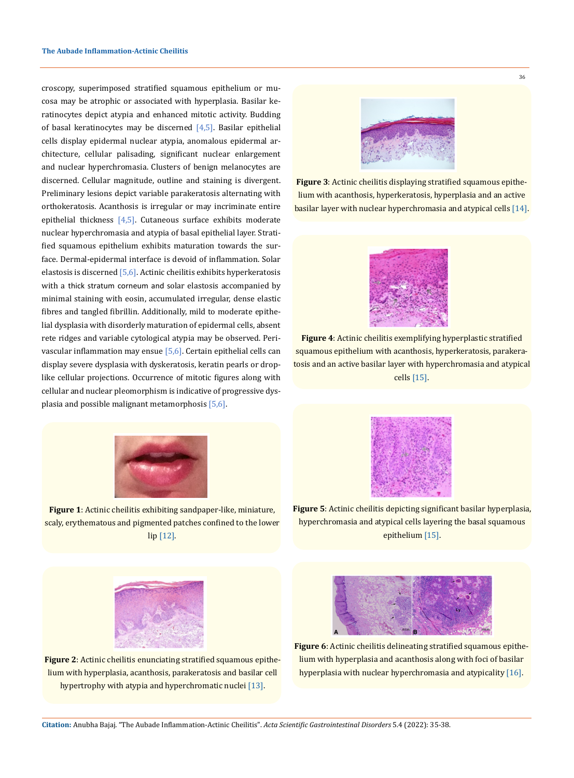croscopy, superimposed stratified squamous epithelium or mucosa may be atrophic or associated with hyperplasia. Basilar keratinocytes depict atypia and enhanced mitotic activity. Budding of basal keratinocytes may be discerned  $[4,5]$ . Basilar epithelial cells display epidermal nuclear atypia, anomalous epidermal architecture, cellular palisading, significant nuclear enlargement and nuclear hyperchromasia. Clusters of benign melanocytes are discerned. Cellular magnitude, outline and staining is divergent. Preliminary lesions depict variable parakeratosis alternating with orthokeratosis. Acanthosis is irregular or may incriminate entire epithelial thickness  $[4,5]$ . Cutaneous surface exhibits moderate nuclear hyperchromasia and atypia of basal epithelial layer. Stratified squamous epithelium exhibits maturation towards the surface. Dermal-epidermal interface is devoid of inflammation. Solar elastosis is discerned  $[5,6]$ . Actinic cheilitis exhibits hyperkeratosis with a thick stratum corneum and solar elastosis accompanied by minimal staining with eosin, accumulated irregular, dense elastic fibres and tangled fibrillin. Additionally, mild to moderate epithelial dysplasia with disorderly maturation of epidermal cells, absent rete ridges and variable cytological atypia may be observed. Perivascular inflammation may ensue [5,6]. Certain epithelial cells can display severe dysplasia with dyskeratosis, keratin pearls or droplike cellular projections. Occurrence of mitotic figures along with cellular and nuclear pleomorphism is indicative of progressive dysplasia and possible malignant metamorphosis [5,6].



**Figure 1**: Actinic cheilitis exhibiting sandpaper-like, miniature, scaly, erythematous and pigmented patches confined to the lower lip [12].



36

**Figure 3**: Actinic cheilitis displaying stratified squamous epithelium with acanthosis, hyperkeratosis, hyperplasia and an active basilar layer with nuclear hyperchromasia and atypical cells [14].



**Figure 4**: Actinic cheilitis exemplifying hyperplastic stratified squamous epithelium with acanthosis, hyperkeratosis, parakeratosis and an active basilar layer with hyperchromasia and atypical cells [15].



**Figure 5**: Actinic cheilitis depicting significant basilar hyperplasia, hyperchromasia and atypical cells layering the basal squamous epithelium [15].



**Figure 2**: Actinic cheilitis enunciating stratified squamous epithelium with hyperplasia, acanthosis, parakeratosis and basilar cell hypertrophy with atypia and hyperchromatic nuclei [13].



**Figure 6**: Actinic cheilitis delineating stratified squamous epithelium with hyperplasia and acanthosis along with foci of basilar hyperplasia with nuclear hyperchromasia and atypicality [16].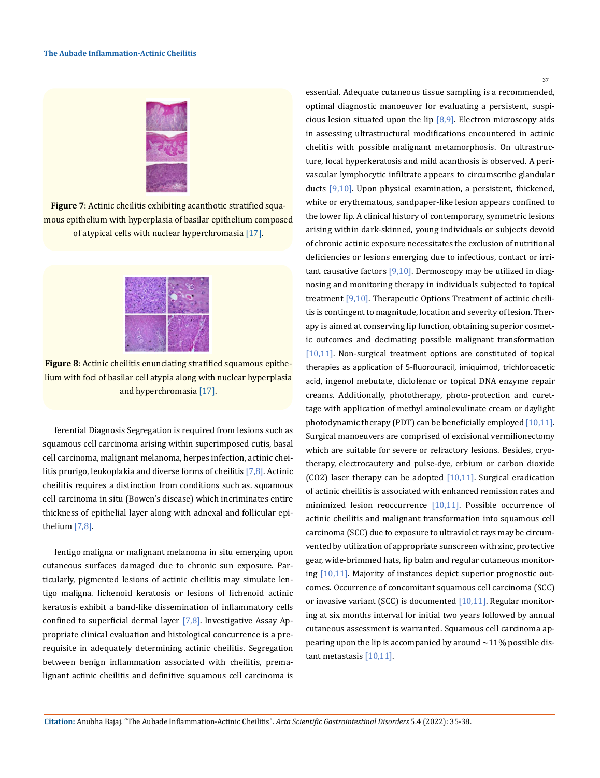

**Figure 7**: Actinic cheilitis exhibiting acanthotic stratified squamous epithelium with hyperplasia of basilar epithelium composed of atypical cells with nuclear hyperchromasia [17].



**Figure 8**: Actinic cheilitis enunciating stratified squamous epithelium with foci of basilar cell atypia along with nuclear hyperplasia and hyperchromasia [17].

ferential Diagnosis Segregation is required from lesions such as squamous cell carcinoma arising within superimposed cutis, basal cell carcinoma, malignant melanoma, herpes infection, actinic cheilitis prurigo, leukoplakia and diverse forms of cheilitis [7,8]. Actinic cheilitis requires a distinction from conditions such as. squamous cell carcinoma in situ (Bowen's disease) which incriminates entire thickness of epithelial layer along with adnexal and follicular epithelium [7,8].

lentigo maligna or malignant melanoma in situ emerging upon cutaneous surfaces damaged due to chronic sun exposure. Particularly, pigmented lesions of actinic cheilitis may simulate lentigo maligna. lichenoid keratosis or lesions of lichenoid actinic keratosis exhibit a band-like dissemination of inflammatory cells confined to superficial dermal layer [7,8]. Investigative Assay Appropriate clinical evaluation and histological concurrence is a prerequisite in adequately determining actinic cheilitis. Segregation between benign inflammation associated with cheilitis, premalignant actinic cheilitis and definitive squamous cell carcinoma is essential. Adequate cutaneous tissue sampling is a recommended, optimal diagnostic manoeuver for evaluating a persistent, suspicious lesion situated upon the lip  $[8,9]$ . Electron microscopy aids in assessing ultrastructural modifications encountered in actinic chelitis with possible malignant metamorphosis. On ultrastructure, focal hyperkeratosis and mild acanthosis is observed. A perivascular lymphocytic infiltrate appears to circumscribe glandular ducts [9,10]. Upon physical examination, a persistent, thickened, white or erythematous, sandpaper-like lesion appears confined to the lower lip. A clinical history of contemporary, symmetric lesions arising within dark-skinned, young individuals or subjects devoid of chronic actinic exposure necessitates the exclusion of nutritional deficiencies or lesions emerging due to infectious, contact or irritant causative factors  $[9,10]$ . Dermoscopy may be utilized in diagnosing and monitoring therapy in individuals subjected to topical treatment [9,10]. Therapeutic Options Treatment of actinic cheilitis is contingent to magnitude, location and severity of lesion. Therapy is aimed at conserving lip function, obtaining superior cosmetic outcomes and decimating possible malignant transformation [10,11]. Non-surgical treatment options are constituted of topical therapies as application of 5-fluorouracil, imiquimod, trichloroacetic acid, ingenol mebutate, diclofenac or topical DNA enzyme repair creams. Additionally, phototherapy, photo-protection and curettage with application of methyl aminolevulinate cream or daylight photodynamic therapy (PDT) can be beneficially employed [10,11]. Surgical manoeuvers are comprised of excisional vermilionectomy which are suitable for severe or refractory lesions. Besides, cryotherapy, electrocautery and pulse-dye, erbium or carbon dioxide (CO2) laser therapy can be adopted  $[10,11]$ . Surgical eradication of actinic cheilitis is associated with enhanced remission rates and minimized lesion reoccurrence [10,11]. Possible occurrence of actinic cheilitis and malignant transformation into squamous cell carcinoma (SCC) due to exposure to ultraviolet rays may be circumvented by utilization of appropriate sunscreen with zinc, protective gear, wide-brimmed hats, lip balm and regular cutaneous monitoring [10,11]. Majority of instances depict superior prognostic outcomes. Occurrence of concomitant squamous cell carcinoma (SCC) or invasive variant (SCC) is documented [10,11]. Regular monitoring at six months interval for initial two years followed by annual cutaneous assessment is warranted. Squamous cell carcinoma appearing upon the lip is accompanied by around  $\sim$  11% possible distant metastasis [10,11].

37